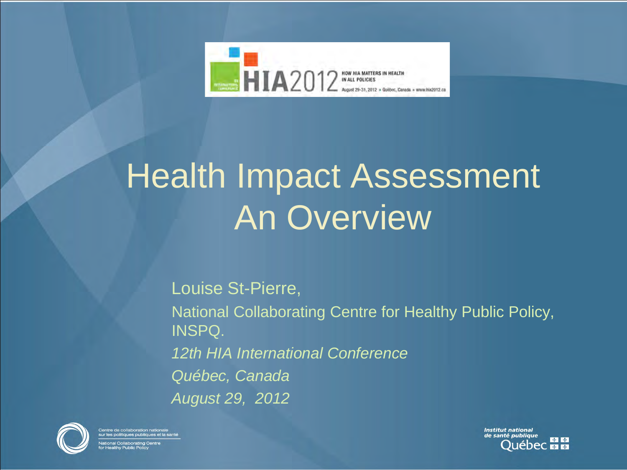

### Health Impact Assessment An Overview

Louise St-Pierre, National Collaborating Centre for Healthy Public Policy, INSPQ. *12th HIA International Conference Québec, Canada August 29, 2012*



entre de collaboration nationale<br>ur les politiques publiques et la santé onal Collaborating Ce

**Institut national** de santé publique \* \*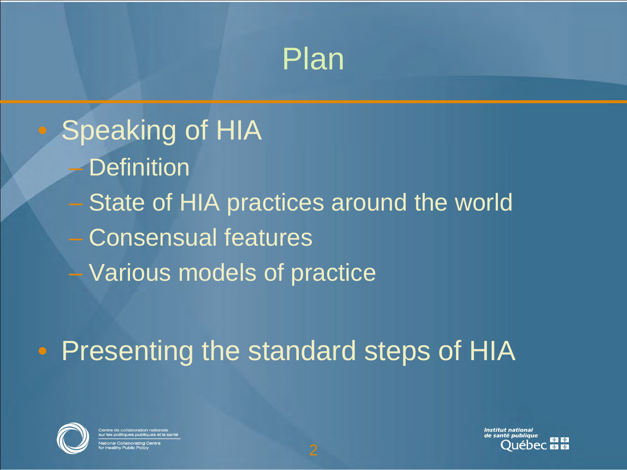#### Plan

Speaking of HIA **Definition State of HIA practices around the world** – Consensual features – Various models of practice

• Presenting the standard steps of HIA



Institut national

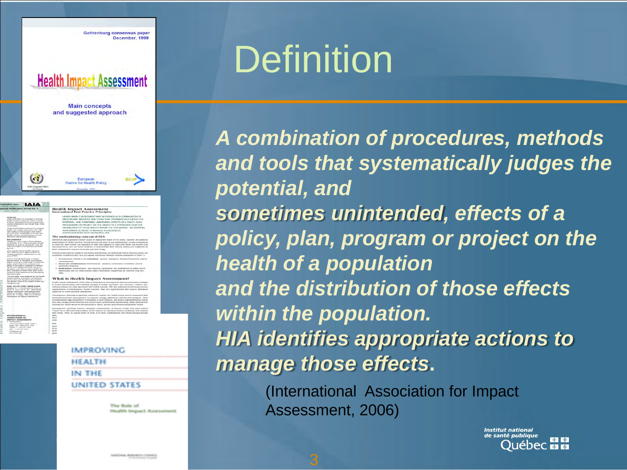

#### **Definition**

*A combination of procedures, methods and tools that systematically judges the potential, and sometimes unintended, effects of a policy, plan, program or project on the health of a population and the distribution of those effects within the population. HIA identifies appropriate actions to manage those effects***.**

> (International Association for Impact Assessment, 2006)

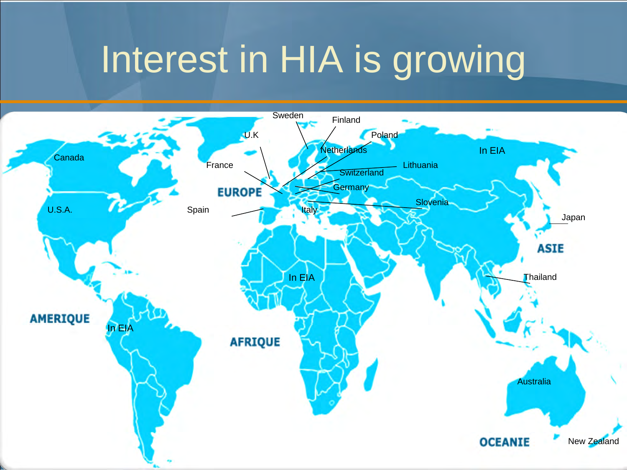### Interest in HIA is growing

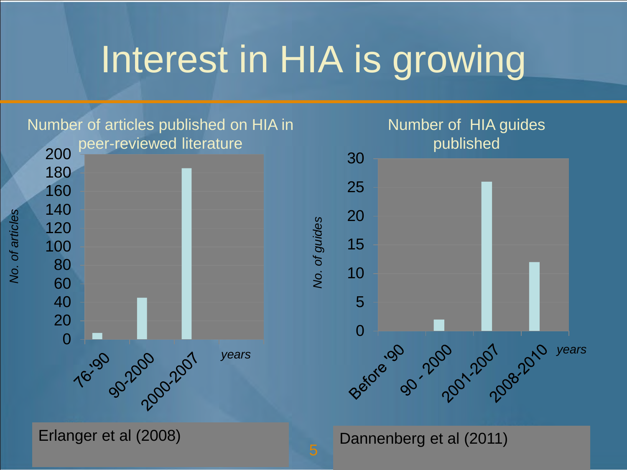### Interest in HIA is growing

*No. of guides*

Vo. of guides

Number of articles published on HIA in

![](_page_4_Figure_2.jpeg)

Erlanger et al (2008)

![](_page_4_Figure_4.jpeg)

Dannenberg et al (2011)

No. of articles *No. of articles*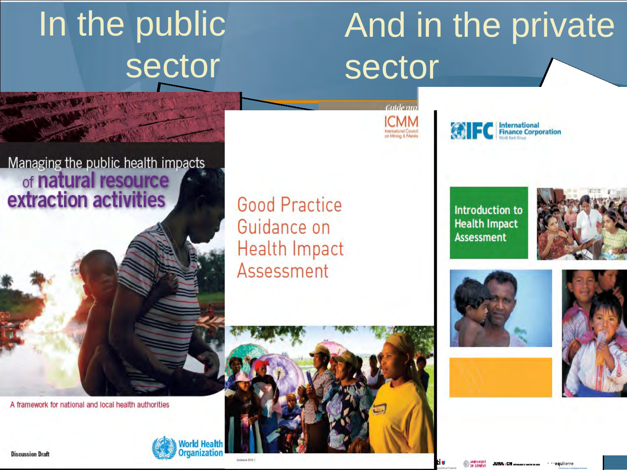# In the public sector

# And in the private sector

Managing the public health impacts of natural resource extraction activities

**Good Practice** Guidance on **Health Impact** Assessment

A framework for national and local health authorities

![](_page_5_Picture_5.jpeg)

**Introduction to Health Impact Assessment** 

**C** | International

![](_page_5_Picture_7.jpeg)

![](_page_5_Picture_8.jpeg)

![](_page_5_Picture_9.jpeg)

Guide pro **ICMM** 

**International Council**<br>on Mining & Metals

**Discussion Draft**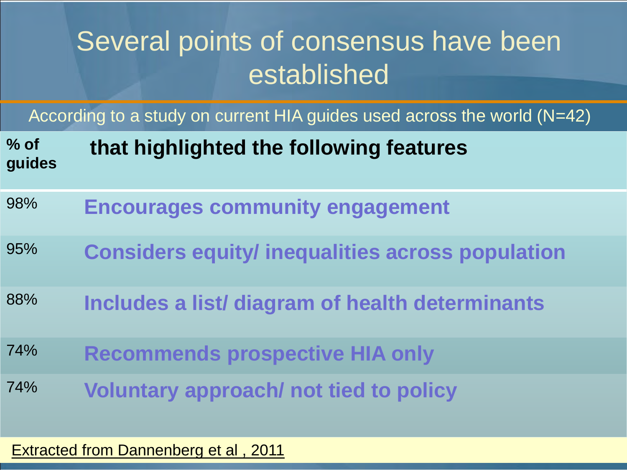#### Several points of consensus have been established

According to a study on current HIA guides used across the world (N=42)

| $%$ of<br>guides | that highlighted the following features                 |
|------------------|---------------------------------------------------------|
| 98%              | <b>Encourages community engagement</b>                  |
| 95%              | <b>Considers equity/ inequalities across population</b> |
| 88%              | Includes a list/ diagram of health determinants         |
| 74%              | <b>Recommends prospective HIA only</b>                  |
| 74%              | <b>Voluntary approach/ not tied to policy</b>           |

#### **Extracted from Dannenberg et al, 2011**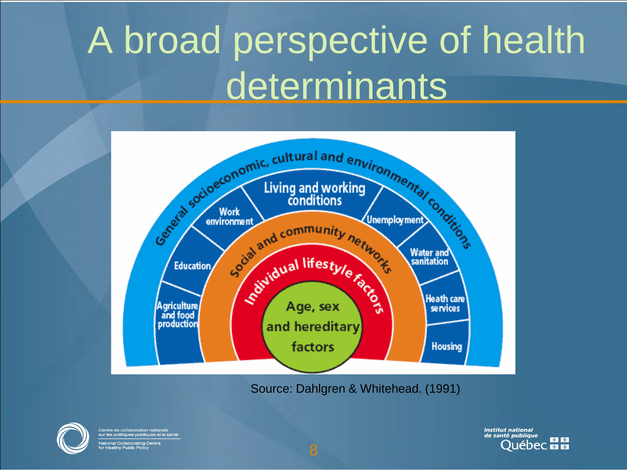# A broad perspective of health determinants

![](_page_7_Figure_1.jpeg)

Source: Dahlgren & Whitehead. (1991)

![](_page_7_Picture_3.jpeg)

Centre de collaboration nationale<br>sur les politiques publiques et la santé ational Collaborating Centre<br>เr Healthy Public Policy

**Institut national** de santé publique \* \* uébec **⊠ ∞**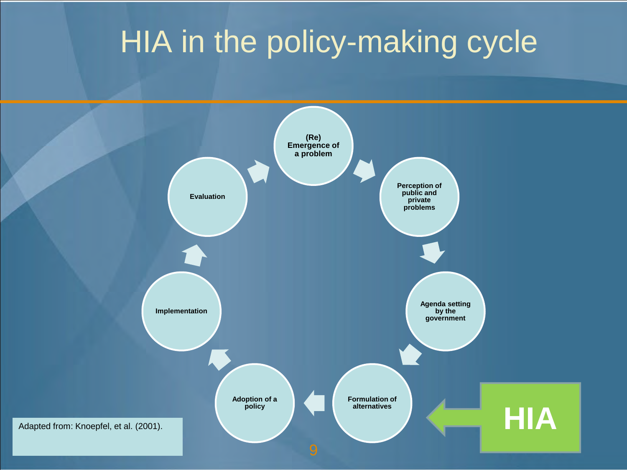#### HIA in the policy-making cycle

![](_page_8_Figure_1.jpeg)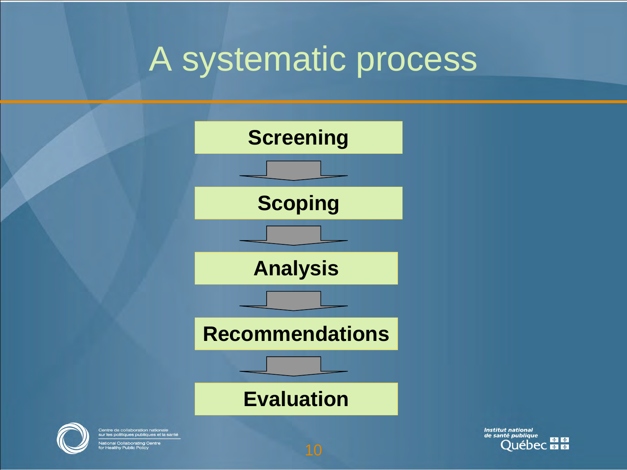#### A systematic process

![](_page_9_Figure_1.jpeg)

![](_page_9_Picture_2.jpeg)

Centre de collaboration nationale<br>sur les politiques publiques et la santé ational Collaborating Centre<br>r Healthy Public Policy

**Institut national** de santé publique \* \* ébec <del>⊠ ⊠</del>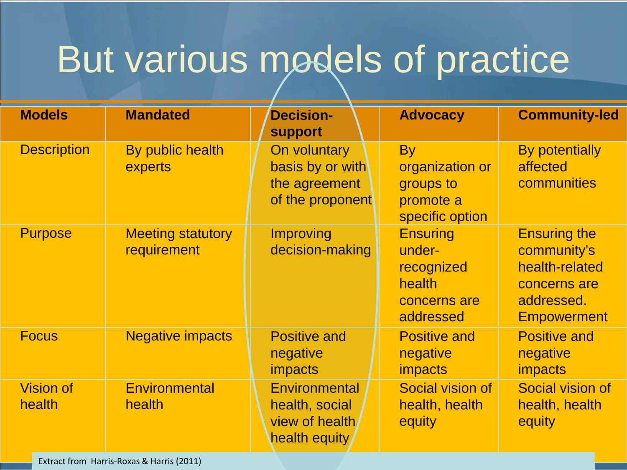### But various models of practice

| <b>Models</b>              | <b>Mandated</b>                         | <b>Decision-</b><br><b>support</b>                                         | <b>Advocacy</b>                                                                | <b>Community-led</b>                                                                                     |
|----------------------------|-----------------------------------------|----------------------------------------------------------------------------|--------------------------------------------------------------------------------|----------------------------------------------------------------------------------------------------------|
| <b>Description</b>         | By public health<br>experts             | On voluntary<br>basis by or with<br>the agreement<br>of the proponent      | <b>By</b><br>organization or<br>groups to<br>promote a<br>specific option      | <b>By potentially</b><br>affected<br>communities                                                         |
| <b>Purpose</b>             | <b>Meeting statutory</b><br>requirement | <b>Improving</b><br>decision-making                                        | <b>Ensuring</b><br>under-<br>recognized<br>health<br>concerns are<br>addressed | <b>Ensuring the</b><br>community's<br>health-related<br>concerns are<br>addressed.<br><b>Empowerment</b> |
| <b>Focus</b>               | <b>Negative impacts</b>                 | <b>Positive and</b><br>negative<br><i>impacts</i>                          | <b>Positive and</b><br>negative<br><i>impacts</i>                              | <b>Positive and</b><br>negative<br><i>impacts</i>                                                        |
| <b>Vision of</b><br>health | Environmental<br>health                 | <b>Environmental</b><br>health, social<br>view of health/<br>health equity | Social vision of<br>health, health<br>equity                                   | Social vision of<br>health, health<br>equity                                                             |

Extract from Harris-Roxas & Harris (2011)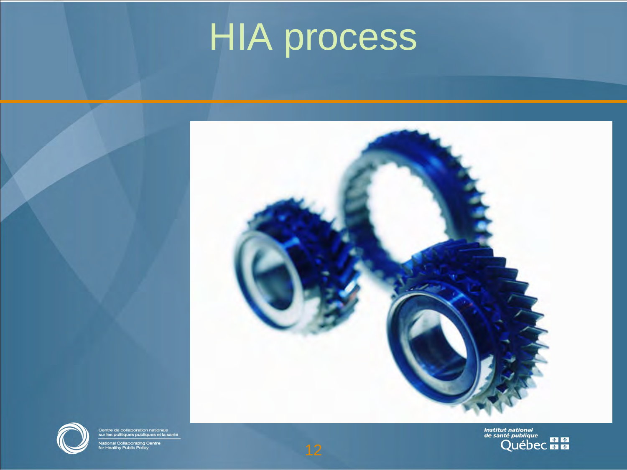# **HIA process**

![](_page_11_Picture_1.jpeg)

![](_page_11_Picture_2.jpeg)

Centre de collaboration nationale<br>sur les politiques publiques et la santé .<br>National Collaborating Centre<br>for Healthy Public Policy

Institut national<br>de santé publique<br>QUÉDEC EL EL

![](_page_11_Picture_5.jpeg)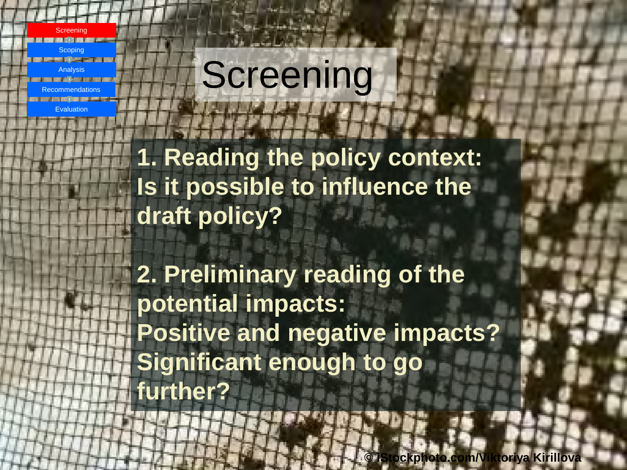![](_page_12_Picture_0.jpeg)

# **Screening**

**1. Reading the policy context: Is it possible to influence the draft policy?**

**2. Preliminary reading of the potential impacts: Positive and negative impacts? Significant enough to go further?**

13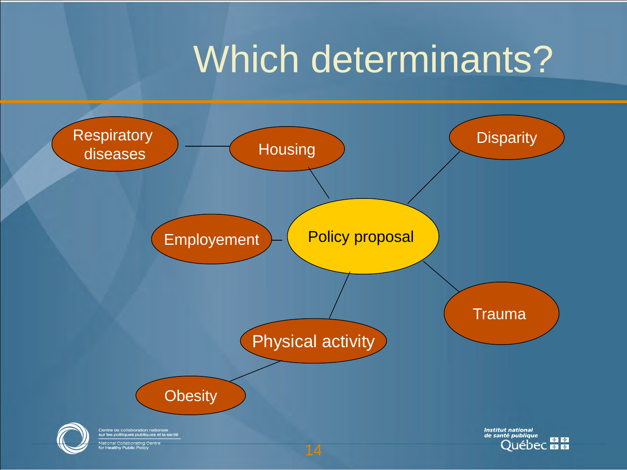### Which determinants?

![](_page_13_Figure_1.jpeg)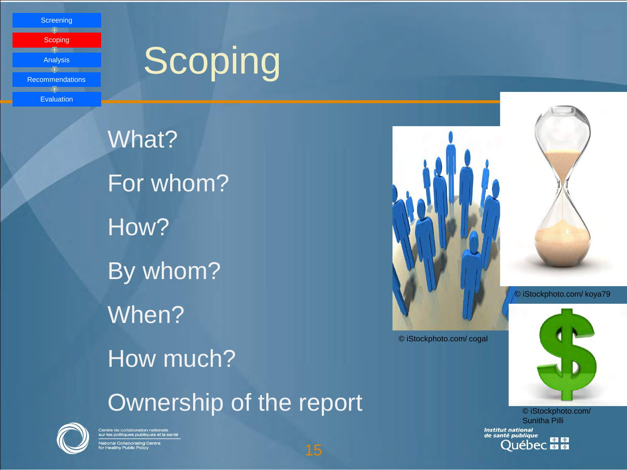**Screening** 

**Scoping** Analysis <u>and the se</u> Recommendations

Evaluation

# **Scoping**

What? For whom? How? By whom? When? How much? Ownership of the report © iStockphoto.com/

![](_page_14_Picture_4.jpeg)

Centre de collaboration nationale<br>sur les politiques publiques et la santé <u>.</u><br>Itional Collaborating Centre<br>r Healthy Public Policy

![](_page_14_Picture_6.jpeg)

© iStockphoto.com/ cogal

![](_page_14_Picture_9.jpeg)

© iStockphoto.com/ koya79

Sunitha Pilli **Institut national<br>de santé publique Québec <b>ELLE** 

![](_page_14_Picture_11.jpeg)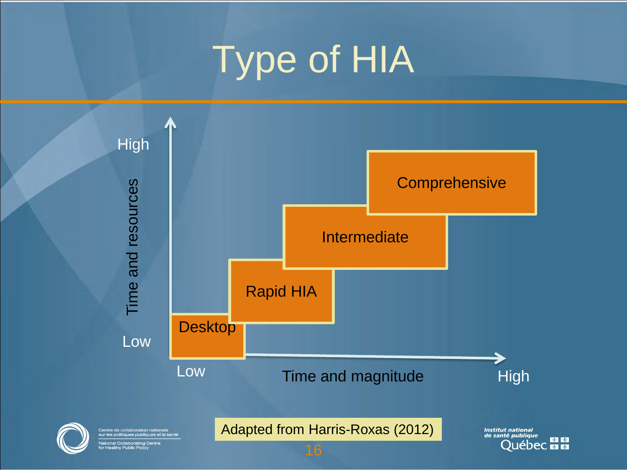# Type of HIA

![](_page_15_Figure_1.jpeg)

★ ◆ **Québec M M**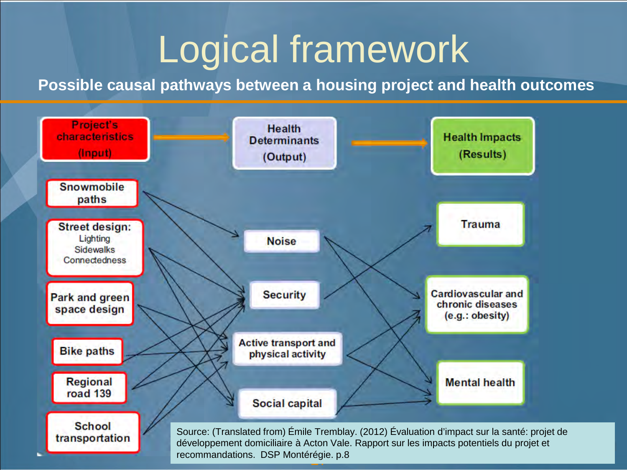### Logical framework

#### **Possible causal pathways between a housing project and health outcomes**

![](_page_16_Figure_2.jpeg)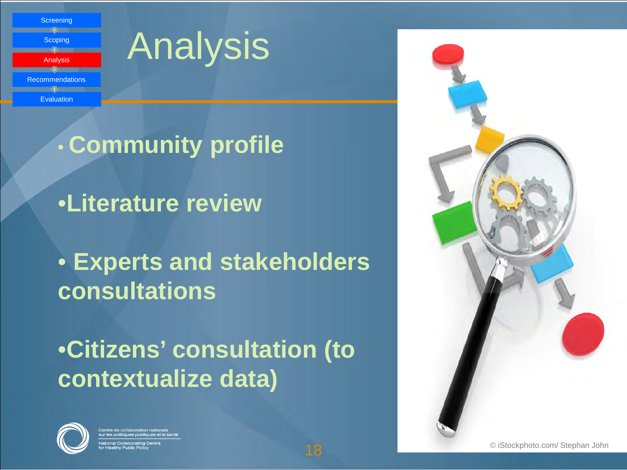**Screening Scoping** Analysis Recommendations Evaluation

### Analysis

• **Community profile**

•**Literature review**

• **Experts and stakeholders consultations**

•**Citizens' consultation (to contextualize data)**

![](_page_17_Picture_6.jpeg)

![](_page_17_Picture_8.jpeg)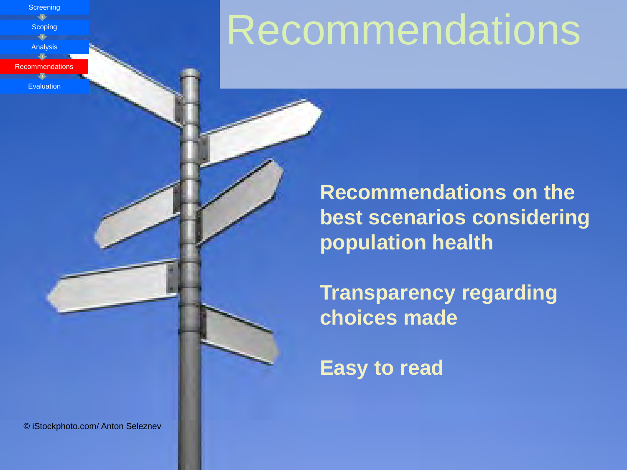Scoping Analysis Recommendations

**Screening** 

#### Evaluation

**Recommendations** 

**Recommendations on the best scenarios considering population health** 

**Transparency regarding choices made**

**Easy to read**

© iStockphoto.com/ Anton Seleznev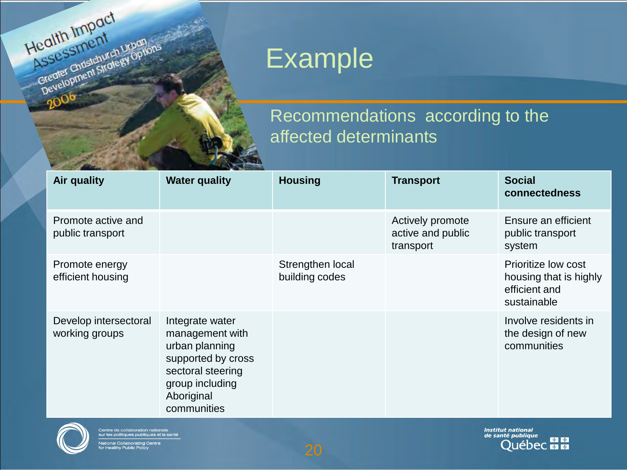![](_page_19_Picture_0.jpeg)

#### Example

#### Recommendations according to the affected determinants

| Air quality                             | <b>Water quality</b>                                                                                                                            | <b>Housing</b>                     | <b>Transport</b>                                   | <b>Social</b><br>connectedness                                                |
|-----------------------------------------|-------------------------------------------------------------------------------------------------------------------------------------------------|------------------------------------|----------------------------------------------------|-------------------------------------------------------------------------------|
| Promote active and<br>public transport  |                                                                                                                                                 |                                    | Actively promote<br>active and public<br>transport | Ensure an efficient<br>public transport<br>system                             |
| Promote energy<br>efficient housing     |                                                                                                                                                 | Strengthen local<br>building codes |                                                    | Prioritize low cost<br>housing that is highly<br>efficient and<br>sustainable |
| Develop intersectoral<br>working groups | Integrate water<br>management with<br>urban planning<br>supported by cross<br>sectoral steering<br>group including<br>Aboriginal<br>communities |                                    |                                                    | Involve residents in<br>the design of new<br>communities                      |

![](_page_19_Picture_4.jpeg)

**Institut national<br>de santé publique DE PUBLIQUE**<br>QUÉDEC ELLE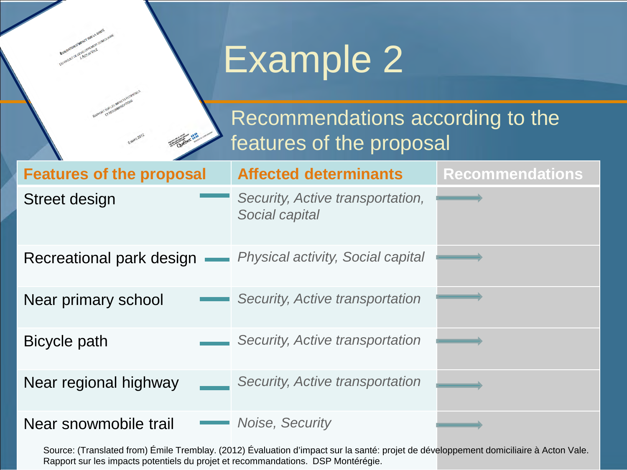# Example 2

#### Recommendations according to the features of the proposal

| <b>Features of the proposal</b> | <b>Affected determinants</b>                       | <b>Recommendations</b> |
|---------------------------------|----------------------------------------------------|------------------------|
| Street design                   | Security, Active transportation,<br>Social capital |                        |
| Recreational park design        | <b>Physical activity, Social capital</b>           |                        |
| Near primary school             | Security, Active transportation                    |                        |
| Bicycle path                    | Security, Active transportation                    |                        |
| Near regional highway           | Security, Active transportation                    |                        |
| Near snowmobile trail           | Noise, Security                                    |                        |

Source: (Translated from) Émile Tremblay. (2012) Évaluation d'impact sur la santé: projet de développement domiciliaire à Acton Vale. Rapport sur les impacts potentiels du projet et recommandations. DSP Montérégie.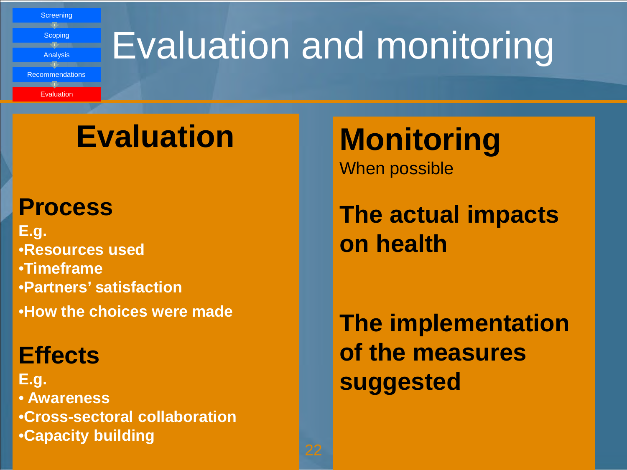**Screening** Scoping Analysis Recommendations **Evaluation** 

# Evaluation and monitoring

#### **Evaluation**

#### **Process**

**E.g.** •**Resources used** •**Timeframe**  •**Partners' satisfaction** •**How the choices were made**

#### **Effects**

**E.g.** • **Awareness** •**Cross-sectoral collaboration** •**Capacity building**

**Monitoring** When possible

**The actual impacts on health**

**The implementation of the measures suggested**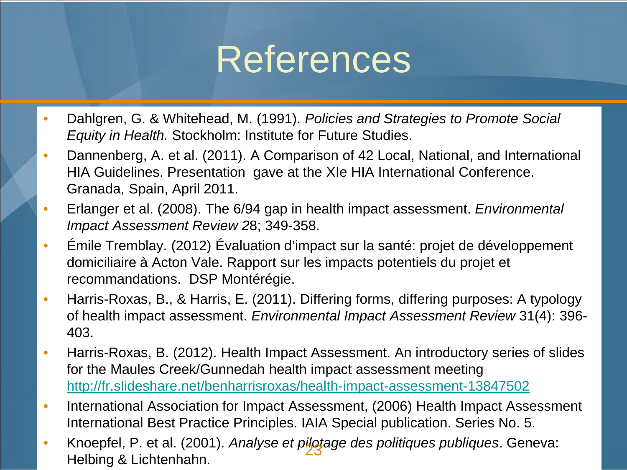#### References

- Dahlgren, G. & Whitehead, M. (1991). *Policies and Strategies to Promote Social Equity in Health.* Stockholm: Institute for Future Studies.
- Dannenberg, A. et al. (2011). A Comparison of 42 Local, National, and International HIA Guidelines. Presentation gave at the XIe HIA International Conference. Granada, Spain, April 2011.
- Erlanger et al. (2008). The 6/94 gap in health impact assessment. *Environmental Impact Assessment Review 2*8; 349‐358.
- Émile Tremblay. (2012) Évaluation d'impact sur la santé: projet de développement domiciliaire à Acton Vale. Rapport sur les impacts potentiels du projet et recommandations. DSP Montérégie.
- Harris-Roxas, B., & Harris, E. (2011). Differing forms, differing purposes: A typology of health impact assessment. *Environmental Impact Assessment Review* 31(4): 396- 403.
- Harris-Roxas, B. (2012). Health Impact Assessment. An introductory series of slides for the Maules Creek/Gunnedah health impact assessment meeting. <http://fr.slideshare.net/benharrisroxas/health-impact-assessment-13847502>
- International Association for Impact Assessment, (2006) Health Impact Assessment International Best Practice Principles. IAIA Special publication. Series No. 5.
- Knoepfel, P. et al. (2001). *Analyse et pilotage des politiques publiques*. Geneva: Helbing & Lichtenhahn.